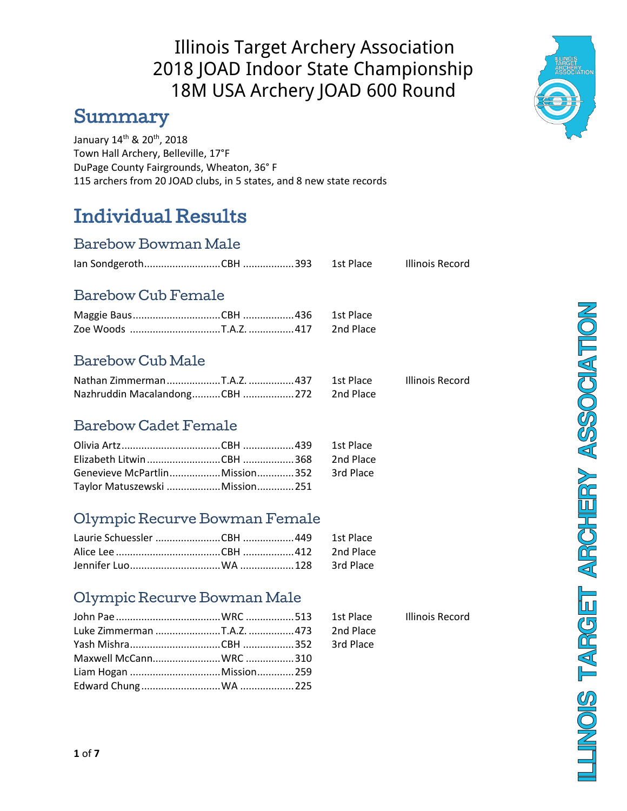### Summary

January 14<sup>th</sup> & 20<sup>th</sup>, 2018 Town Hall Archery, Belleville, 17°F DuPage County Fairgrounds, Wheaton, 36° F 115 archers from 20 JOAD clubs, in 5 states, and 8 new state records

## Individual Results

#### Barebow Bowman Male

|  | 1st Place | <b>Illinois Record</b> |
|--|-----------|------------------------|
|  |           |                        |

### Barebow Cub Female

### Barebow Cub Male

|                                          |  | Illinois Record |
|------------------------------------------|--|-----------------|
| Nazhruddin MacalandongCBH  272 2nd Place |  |                 |

#### Barebow Cadet Female

| Genevieve McPartlinMission352 3rd Place |  |  |
|-----------------------------------------|--|--|
| Taylor Matuszewski  Mission 251         |  |  |

#### Olympic Recurve Bowman Female

#### Olympic Recurve Bowman Male

| Illinois Rec |
|--------------|
|              |
|              |
|              |

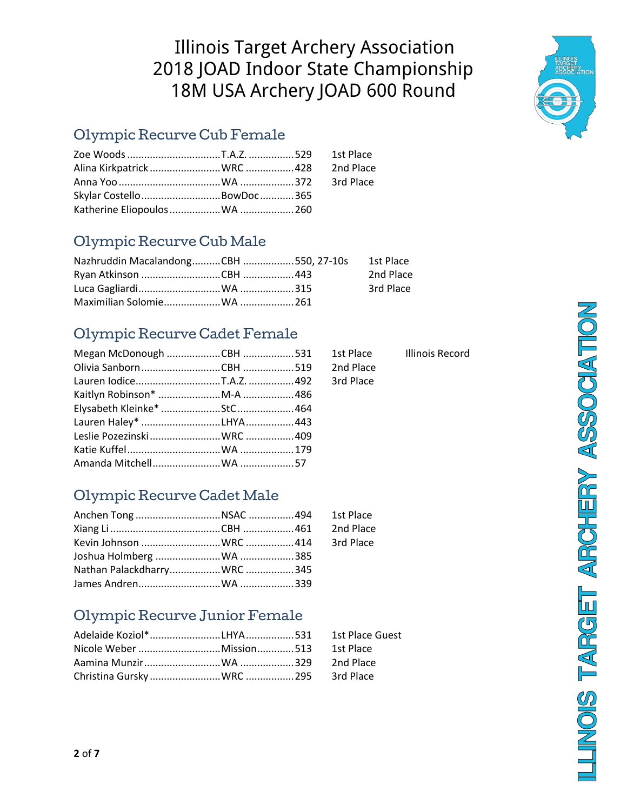Megan McDonough ...................CBH ..................531 1st Place Illinois Record

2nd Place 3rd Place

### Olympic Recurve Cub Female

| Skylar Costello  BowDoc  365 |  |  |
|------------------------------|--|--|
|                              |  |  |

### Olympic Recurve Cub Male

| Nazhruddin MacalandongCBH 550, 27-10s |  | 1st Place |
|---------------------------------------|--|-----------|
|                                       |  | 2nd Place |
|                                       |  | 3rd Place |
|                                       |  |           |

### Olympic Recurve Cadet Female

### Olympic Recurve Cadet Male

| Anchen Tong NSAC 494 1st Place |  |  |
|--------------------------------|--|--|
|                                |  |  |
|                                |  |  |
|                                |  |  |
|                                |  |  |
|                                |  |  |

### Olympic Recurve Junior Female



**LLINOIS TARGET ARCHERY ASSOCIATION**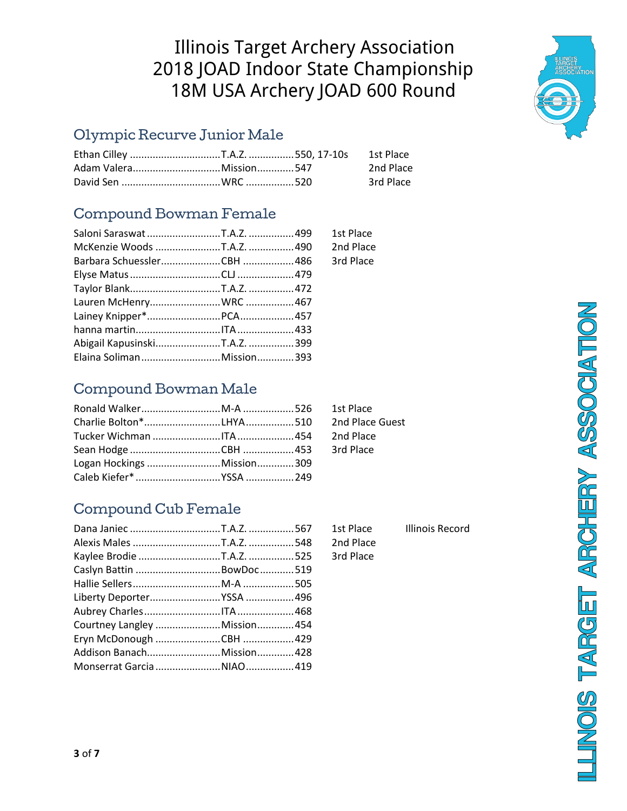#### Olympic Recurve Junior Male

|  | 2nd Place |
|--|-----------|
|  | 3rd Place |

### Compound Bowman Female

|                           |  | 1st Place |
|---------------------------|--|-----------|
|                           |  | 2nd Place |
|                           |  | 3rd Place |
|                           |  |           |
|                           |  |           |
|                           |  |           |
|                           |  |           |
|                           |  |           |
|                           |  |           |
| Elaina SolimanMission 393 |  |           |

### Compound Bowman Male

1st Place 2nd Place Guest 2nd Place 3rd Place

### Compound Cub Female

| Caslyn Battin  BowDoc 519<br>Courtney Langley Mission 454<br>Monserrat Garcia  NIAO  419 |
|------------------------------------------------------------------------------------------|

Dana Janiec ................................T.A.Z. ................567 1st Place Illinois Record 2nd Place 3rd Place

**HUNOIS TARGET ARCHERY ASSOCIATION** 



**3** of **7**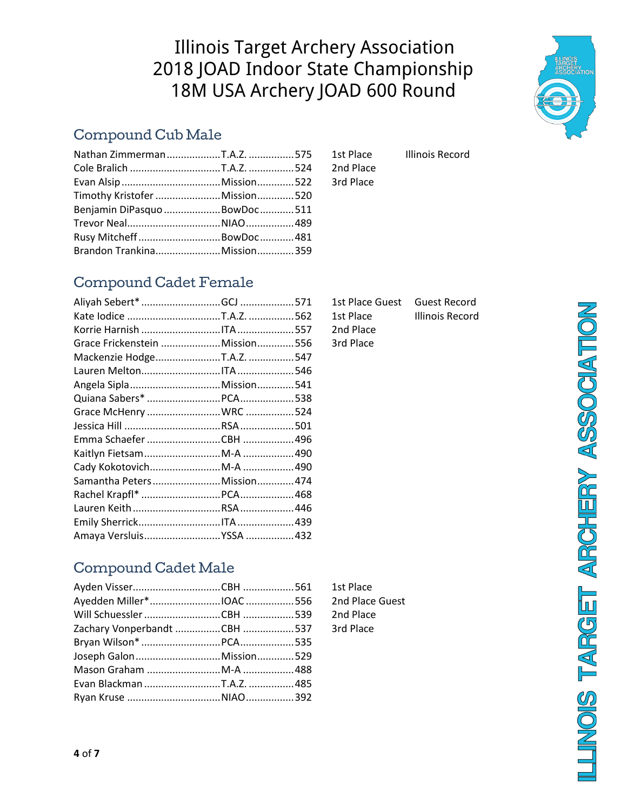### Compound Cub Male

| Timothy Kristofer Mission520  |  |
|-------------------------------|--|
| Benjamin DiPasquo BowDoc  511 |  |
|                               |  |
| Rusy MitcheffBowDoc481        |  |
|                               |  |
|                               |  |

1st Place Illinois Record 2nd Place 3rd Place

### Compound Cadet Female

|                            |  | 1st Place Guest Guest Record |                 |
|----------------------------|--|------------------------------|-----------------|
|                            |  | 1st Place                    | Illinois Record |
|                            |  | 2nd Place                    |                 |
|                            |  | 3rd Place                    |                 |
|                            |  |                              |                 |
|                            |  |                              |                 |
|                            |  |                              |                 |
|                            |  |                              |                 |
|                            |  |                              |                 |
|                            |  |                              |                 |
|                            |  |                              |                 |
|                            |  |                              |                 |
|                            |  |                              |                 |
| Samantha PetersMission 474 |  |                              |                 |
|                            |  |                              |                 |
|                            |  |                              |                 |
|                            |  |                              |                 |
|                            |  |                              |                 |

| 1st Place | Illinc |
|-----------|--------|
| 2nd Place |        |
| 3rd Place |        |
|           |        |

**HUNOIS TARGET ARCHERY ASSOCIATION** 

### Compound Cadet Male

| Joseph GalonMission 529 |  |
|-------------------------|--|
|                         |  |
|                         |  |
| Ryan Kruse NIAO 392     |  |
|                         |  |

1st Place 2nd Place Guest 2nd Place 3rd Place

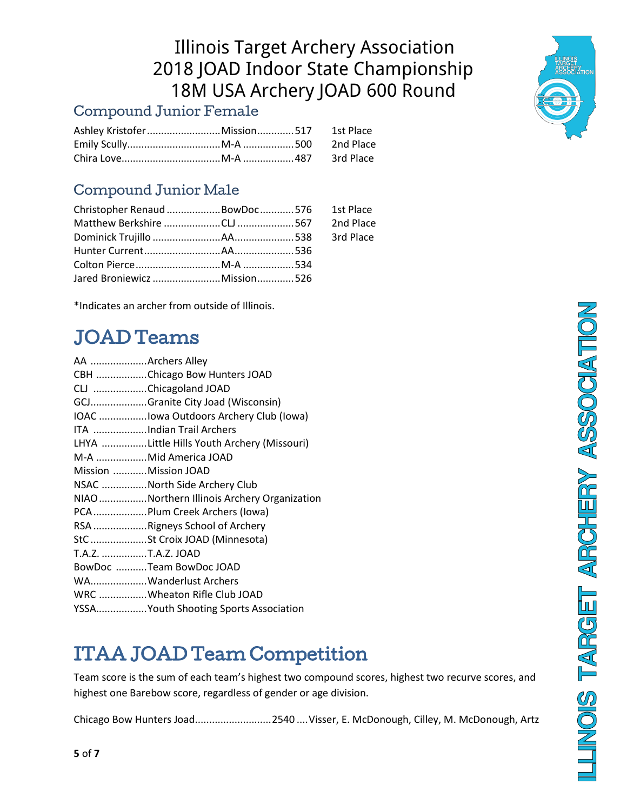### Compound Junior Female

### Compound Junior Male

| Christopher Renaud BowDoc 576 1st Place |  |  |
|-----------------------------------------|--|--|
|                                         |  |  |
|                                         |  |  |
|                                         |  |  |
|                                         |  |  |
|                                         |  |  |

\*Indicates an archer from outside of Illinois.

# JOAD Teams

| AA Archers Alley     |                                            |
|----------------------|--------------------------------------------|
|                      | CBH Chicago Bow Hunters JOAD               |
|                      | CLJ Chicagoland JOAD                       |
|                      | GCJGranite City Joad (Wisconsin)           |
|                      | IOAC Iowa Outdoors Archery Club (Iowa)     |
|                      | ITA Indian Trail Archers                   |
|                      | LHYA Little Hills Youth Archery (Missouri) |
|                      | M-A Mid America JOAD                       |
| Mission Mission JOAD |                                            |
|                      | NSAC North Side Archery Club               |
|                      | NIAONorthern Illinois Archery Organization |
|                      | PCA Plum Creek Archers (lowa)              |
|                      | RSA Rigneys School of Archery              |
|                      | StC St Croix JOAD (Minnesota)              |
| T.A.Z. T.A.Z. JOAD   |                                            |
|                      | BowDoc Team BowDoc JOAD                    |
|                      | WAWanderlust Archers                       |
|                      | WRC Wheaton Rifle Club JOAD                |
|                      | YSSAYouth Shooting Sports Association      |

# ITAA JOAD Team Competition

Team score is the sum of each team's highest two compound scores, highest two recurve scores, and highest one Barebow score, regardless of gender or age division.

Chicago Bow Hunters Joad...........................2540 ....Visser, E. McDonough, Cilley, M. McDonough, Artz

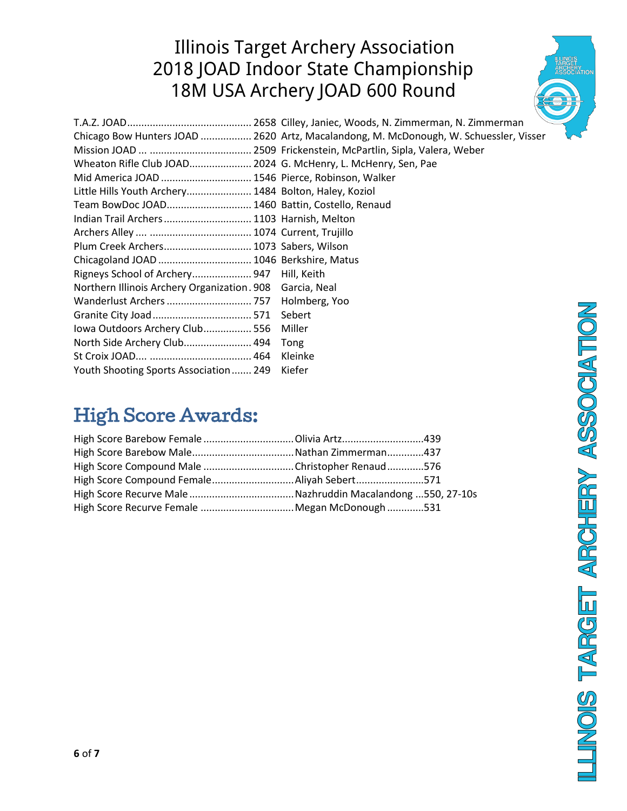|                                                               | Chicago Bow Hunters JOAD  2620 Artz, Macalandong, M. McDonough, W. Schuessler, Visser |
|---------------------------------------------------------------|---------------------------------------------------------------------------------------|
|                                                               |                                                                                       |
| Wheaton Rifle Club JOAD 2024 G. McHenry, L. McHenry, Sen, Pae |                                                                                       |
| Mid America JOAD  1546 Pierce, Robinson, Walker               |                                                                                       |
| Little Hills Youth Archery 1484 Bolton, Haley, Koziol         |                                                                                       |
| Team BowDoc JOAD 1460 Battin, Costello, Renaud                |                                                                                       |
| Indian Trail Archers  1103 Harnish, Melton                    |                                                                                       |
|                                                               |                                                                                       |
| Plum Creek Archers 1073 Sabers, Wilson                        |                                                                                       |
| Chicagoland JOAD  1046 Berkshire, Matus                       |                                                                                       |
| Rigneys School of Archery 947 Hill, Keith                     |                                                                                       |
| Northern Illinois Archery Organization. 908 Garcia, Neal      |                                                                                       |
|                                                               |                                                                                       |
|                                                               |                                                                                       |
| Iowa Outdoors Archery Club 556                                | Miller                                                                                |
| North Side Archery Club 494 Tong                              |                                                                                       |
|                                                               | Kleinke                                                                               |
| Youth Shooting Sports Association  249 Kiefer                 |                                                                                       |

## High Score Awards:

| High Score Compound Male Christopher Renaud 576 |  |
|-------------------------------------------------|--|
|                                                 |  |
|                                                 |  |
|                                                 |  |